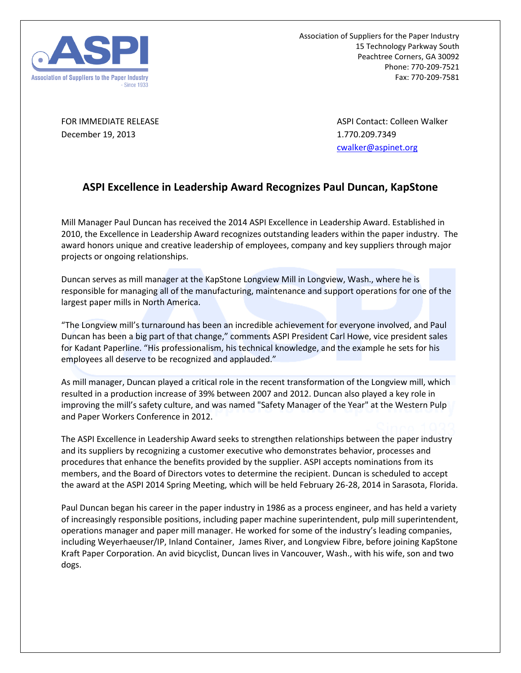

Association of Suppliers for the Paper Industry 15 Technology Parkway South Peachtree Corners, GA 30092 Phone: 770-209-7521 Fax: 770-209-7581

December 19, 2013 1.770.209.7349

FOR IMMEDIATE RELEASE ASPI CONTACT ASPI Contact: Colleen Walker [cwalker@aspinet.org](mailto:cwalker@aspinet.org)

## **ASPI Excellence in Leadership Award Recognizes Paul Duncan, KapStone**

Mill Manager Paul Duncan has received the 2014 ASPI Excellence in Leadership Award. Established in 2010, the Excellence in Leadership Award recognizes outstanding leaders within the paper industry. The award honors unique and creative leadership of employees, company and key suppliers through major projects or ongoing relationships.

Duncan serves as mill manager at the KapStone Longview Mill in Longview, Wash., where he is responsible for managing all of the manufacturing, maintenance and support operations for one of the largest paper mills in North America.

"The Longview mill's turnaround has been an incredible achievement for everyone involved, and Paul Duncan has been a big part of that change," comments ASPI President Carl Howe, vice president sales for Kadant Paperline. "His professionalism, his technical knowledge, and the example he sets for his employees all deserve to be recognized and applauded."

As mill manager, Duncan played a critical role in the recent transformation of the Longview mill, which resulted in a production increase of 39% between 2007 and 2012. Duncan also played a key role in improving the mill's safety culture, and was named "Safety Manager of the Year" at the Western Pulp and Paper Workers Conference in 2012.

The ASPI Excellence in Leadership Award seeks to strengthen relationships between the paper industry and its suppliers by recognizing a customer executive who demonstrates behavior, processes and procedures that enhance the benefits provided by the supplier. ASPI accepts nominations from its members, and the Board of Directors votes to determine the recipient. Duncan is scheduled to accept the award at the ASPI 2014 Spring Meeting, which will be held February 26-28, 2014 in Sarasota, Florida.

Paul Duncan began his career in the paper industry in 1986 as a process engineer, and has held a variety of increasingly responsible positions, including paper machine superintendent, pulp mill superintendent, operations manager and paper mill manager. He worked for some of the industry's leading companies, including Weyerhaeuser/IP, Inland Container, James River, and Longview Fibre, before joining KapStone Kraft Paper Corporation. An avid bicyclist, Duncan lives in Vancouver, Wash., with his wife, son and two dogs.